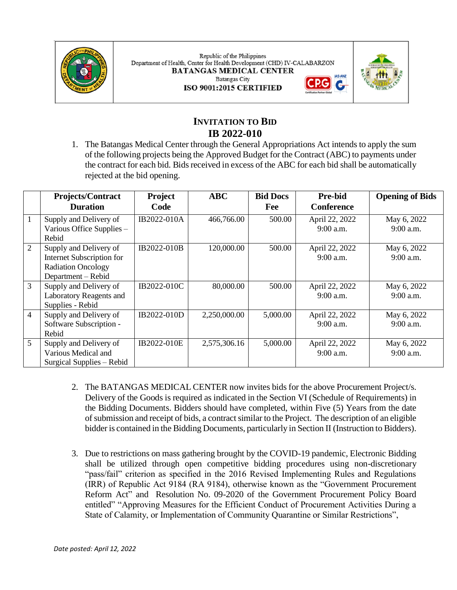

Republic of the Philippines Department of Health, Center for Health Development (CHD) IV-CALABARZON **BATANGAS MEDICAL CENTER Batangas City** ISO 9001:2015 CERTIFIED





# **INVITATION TO BID IB 2022-010**

1. The Batangas Medical Center through the General Appropriations Act intends to apply the sum of the following projects being the Approved Budget for the Contract (ABC) to payments under the contract for each bid. Bids received in excess of the ABC for each bid shall be automatically rejected at the bid opening.

|                | <b>Projects/Contract</b>         | Project     | <b>ABC</b>   | <b>Bid Docs</b> | <b>Pre-bid</b>    | <b>Opening of Bids</b> |
|----------------|----------------------------------|-------------|--------------|-----------------|-------------------|------------------------|
|                | <b>Duration</b>                  | Code        |              | Fee             | <b>Conference</b> |                        |
| 1              | Supply and Delivery of           | IB2022-010A | 466,766.00   | 500.00          | April 22, 2022    | May 6, 2022            |
|                | Various Office Supplies -        |             |              |                 | $9:00$ a.m.       | $9:00$ a.m.            |
|                | Rebid                            |             |              |                 |                   |                        |
| $\overline{2}$ | Supply and Delivery of           | IB2022-010B | 120,000.00   | 500.00          | April 22, 2022    | May 6, 2022            |
|                | <b>Internet Subscription for</b> |             |              |                 | $9:00$ a.m.       | 9:00 a.m.              |
|                | <b>Radiation Oncology</b>        |             |              |                 |                   |                        |
|                | Department – Rebid               |             |              |                 |                   |                        |
| 3              | Supply and Delivery of           | IB2022-010C | 80,000.00    | 500.00          | April 22, 2022    | May 6, 2022            |
|                | Laboratory Reagents and          |             |              |                 | $9:00$ a.m.       | $9:00$ a.m.            |
|                | Supplies - Rebid                 |             |              |                 |                   |                        |
| 4              | Supply and Delivery of           | IB2022-010D | 2,250,000.00 | 5,000.00        | April 22, 2022    | May 6, 2022            |
|                | Software Subscription -          |             |              |                 | $9:00$ a.m.       | $9:00$ a.m.            |
|                | Rebid                            |             |              |                 |                   |                        |
| 5              | Supply and Delivery of           | IB2022-010E | 2,575,306.16 | 5,000.00        | April 22, 2022    | May 6, 2022            |
|                | Various Medical and              |             |              |                 | $9:00$ a.m.       | $9:00$ a.m.            |
|                | Surgical Supplies - Rebid        |             |              |                 |                   |                        |

- 2. The BATANGAS MEDICAL CENTER now invites bids for the above Procurement Project/s. Delivery of the Goods is required as indicated in the Section VI (Schedule of Requirements) in the Bidding Documents. Bidders should have completed, within Five (5) Years from the date of submission and receipt of bids, a contract similar to the Project. The description of an eligible bidder is contained in the Bidding Documents, particularly in Section II (Instruction to Bidders).
- 3. Due to restrictions on mass gathering brought by the COVID-19 pandemic, Electronic Bidding shall be utilized through open competitive bidding procedures using non-discretionary "pass/fail" criterion as specified in the 2016 Revised Implementing Rules and Regulations (IRR) of Republic Act 9184 (RA 9184), otherwise known as the "Government Procurement Reform Act" and Resolution No. 09-2020 of the Government Procurement Policy Board entitled" "Approving Measures for the Efficient Conduct of Procurement Activities During a State of Calamity, or Implementation of Community Quarantine or Similar Restrictions",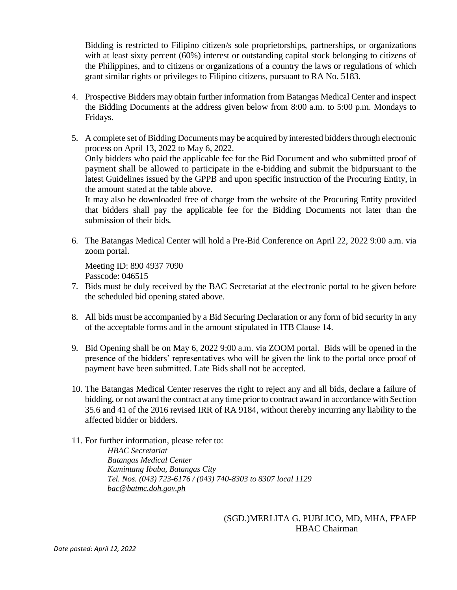Bidding is restricted to Filipino citizen/s sole proprietorships, partnerships, or organizations with at least sixty percent (60%) interest or outstanding capital stock belonging to citizens of the Philippines, and to citizens or organizations of a country the laws or regulations of which grant similar rights or privileges to Filipino citizens, pursuant to RA No. 5183.

- 4. Prospective Bidders may obtain further information from Batangas Medical Center and inspect the Bidding Documents at the address given below from 8:00 a.m. to 5:00 p.m. Mondays to Fridays.
- 5. A complete set of Bidding Documents may be acquired by interested bidders through electronic process on April 13, 2022 to May 6, 2022. Only bidders who paid the applicable fee for the Bid Document and who submitted proof of payment shall be allowed to participate in the e-bidding and submit the bidpursuant to the latest Guidelines issued by the GPPB and upon specific instruction of the Procuring Entity, in the amount stated at the table above.

It may also be downloaded free of charge from the website of the Procuring Entity provided that bidders shall pay the applicable fee for the Bidding Documents not later than the submission of their bids.

6. The Batangas Medical Center will hold a Pre-Bid Conference on April 22, 2022 9:00 a.m. via zoom portal.

Meeting ID: 890 4937 7090 Passcode: 046515

- 7. Bids must be duly received by the BAC Secretariat at the electronic portal to be given before the scheduled bid opening stated above.
- 8. All bids must be accompanied by a Bid Securing Declaration or any form of bid security in any of the acceptable forms and in the amount stipulated in ITB Clause 14.
- 9. Bid Opening shall be on May 6, 2022 9:00 a.m. via ZOOM portal. Bids will be opened in the presence of the bidders' representatives who will be given the link to the portal once proof of payment have been submitted. Late Bids shall not be accepted.
- 10. The Batangas Medical Center reserves the right to reject any and all bids, declare a failure of bidding, or not award the contract at any time prior to contract award in accordance with Section 35.6 and 41 of the 2016 revised IRR of RA 9184, without thereby incurring any liability to the affected bidder or bidders.
- 11. For further information, please refer to: *HBAC Secretariat Batangas Medical Center Kumintang Ibaba, Batangas City Tel. Nos. (043) 723-6176 / (043) 740-8303 to 8307 local 1129 [bac@batmc.doh.gov.ph](mailto:bac@batmc.doh.gov.ph)*

## (SGD.)MERLITA G. PUBLICO, MD, MHA, FPAFP HBAC Chairman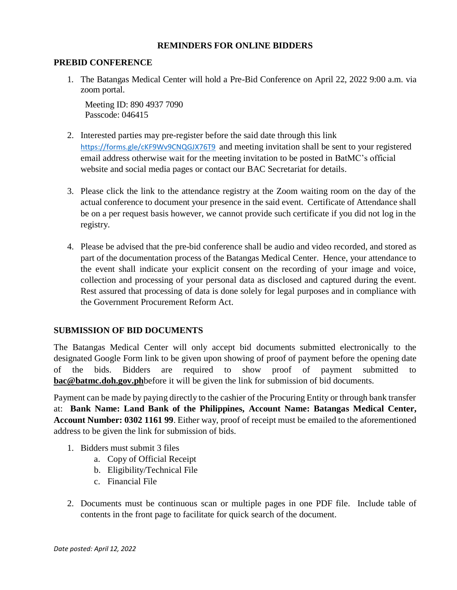### **REMINDERS FOR ONLINE BIDDERS**

#### **PREBID CONFERENCE**

1. The Batangas Medical Center will hold a Pre-Bid Conference on April 22, 2022 9:00 a.m. via zoom portal.

Meeting ID: 890 4937 7090 Passcode: 046415

- 2. Interested parties may pre-register before the said date through this link <https://forms.gle/cKF9Wv9CNQGJX76T9> and meeting invitation shall be sent to your registered email address otherwise wait for the meeting invitation to be posted in BatMC's official website and social media pages or contact our BAC Secretariat for details.
- 3. Please click the link to the attendance registry at the Zoom waiting room on the day of the actual conference to document your presence in the said event. Certificate of Attendance shall be on a per request basis however, we cannot provide such certificate if you did not log in the registry.
- 4. Please be advised that the pre-bid conference shall be audio and video recorded, and stored as part of the documentation process of the Batangas Medical Center. Hence, your attendance to the event shall indicate your explicit consent on the recording of your image and voice, collection and processing of your personal data as disclosed and captured during the event. Rest assured that processing of data is done solely for legal purposes and in compliance with the Government Procurement Reform Act.

## **SUBMISSION OF BID DOCUMENTS**

The Batangas Medical Center will only accept bid documents submitted electronically to the designated Google Form link to be given upon showing of proof of payment before the opening date of the bids. Bidders are required to show proof of payment submitted to **[bac@batmc.doh.gov.ph](mailto:bac@batmc.doh.gov.ph)**before it will be given the link for submission of bid documents.

Payment can be made by paying directly to the cashier of the Procuring Entity or through bank transfer at: **Bank Name: Land Bank of the Philippines, Account Name: Batangas Medical Center, Account Number: 0302 1161 99**. Either way, proof of receipt must be emailed to the aforementioned address to be given the link for submission of bids.

- 1. Bidders must submit 3 files
	- a. Copy of Official Receipt
	- b. Eligibility/Technical File
	- c. Financial File
- 2. Documents must be continuous scan or multiple pages in one PDF file. Include table of contents in the front page to facilitate for quick search of the document.